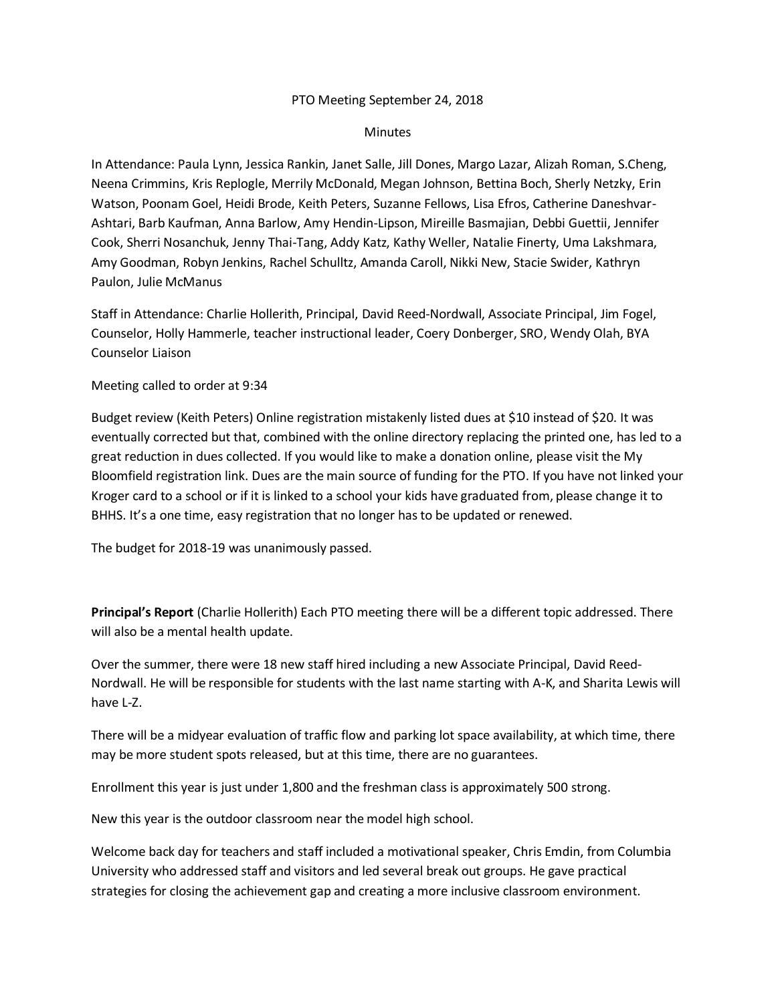## PTO Meeting September 24, 2018

## **Minutes**

In Attendance: Paula Lynn, Jessica Rankin, Janet Salle, Jill Dones, Margo Lazar, Alizah Roman, S.Cheng, Neena Crimmins, Kris Replogle, Merrily McDonald, Megan Johnson, Bettina Boch, Sherly Netzky, Erin Watson, Poonam Goel, Heidi Brode, Keith Peters, Suzanne Fellows, Lisa Efros, Catherine Daneshvar-Ashtari, Barb Kaufman, Anna Barlow, Amy Hendin-Lipson, Mireille Basmajian, Debbi Guettii, Jennifer Cook, Sherri Nosanchuk, Jenny Thai-Tang, Addy Katz, Kathy Weller, Natalie Finerty, Uma Lakshmara, Amy Goodman, Robyn Jenkins, Rachel Schulltz, Amanda Caroll, Nikki New, Stacie Swider, Kathryn Paulon, Julie McManus

Staff in Attendance: Charlie Hollerith, Principal, David Reed-Nordwall, Associate Principal, Jim Fogel, Counselor, Holly Hammerle, teacher instructional leader, Coery Donberger, SRO, Wendy Olah, BYA Counselor Liaison

Meeting called to order at 9:34

Budget review (Keith Peters) Online registration mistakenly listed dues at \$10 instead of \$20. It was eventually corrected but that, combined with the online directory replacing the printed one, has led to a great reduction in dues collected. If you would like to make a donation online, please visit the My Bloomfield registration link. Dues are the main source of funding for the PTO. If you have not linked your Kroger card to a school or if it is linked to a school your kids have graduated from, please change it to BHHS. It's a one time, easy registration that no longer has to be updated or renewed.

The budget for 2018-19 was unanimously passed.

**Principal's Report** (Charlie Hollerith) Each PTO meeting there will be a different topic addressed. There will also be a mental health update.

Over the summer, there were 18 new staff hired including a new Associate Principal, David Reed-Nordwall. He will be responsible for students with the last name starting with A-K, and Sharita Lewis will have L-Z.

There will be a midyear evaluation of traffic flow and parking lot space availability, at which time, there may be more student spots released, but at this time, there are no guarantees.

Enrollment this year is just under 1,800 and the freshman class is approximately 500 strong.

New this year is the outdoor classroom near the model high school.

Welcome back day for teachers and staff included a motivational speaker, Chris Emdin, from Columbia University who addressed staff and visitors and led several break out groups. He gave practical strategies for closing the achievement gap and creating a more inclusive classroom environment.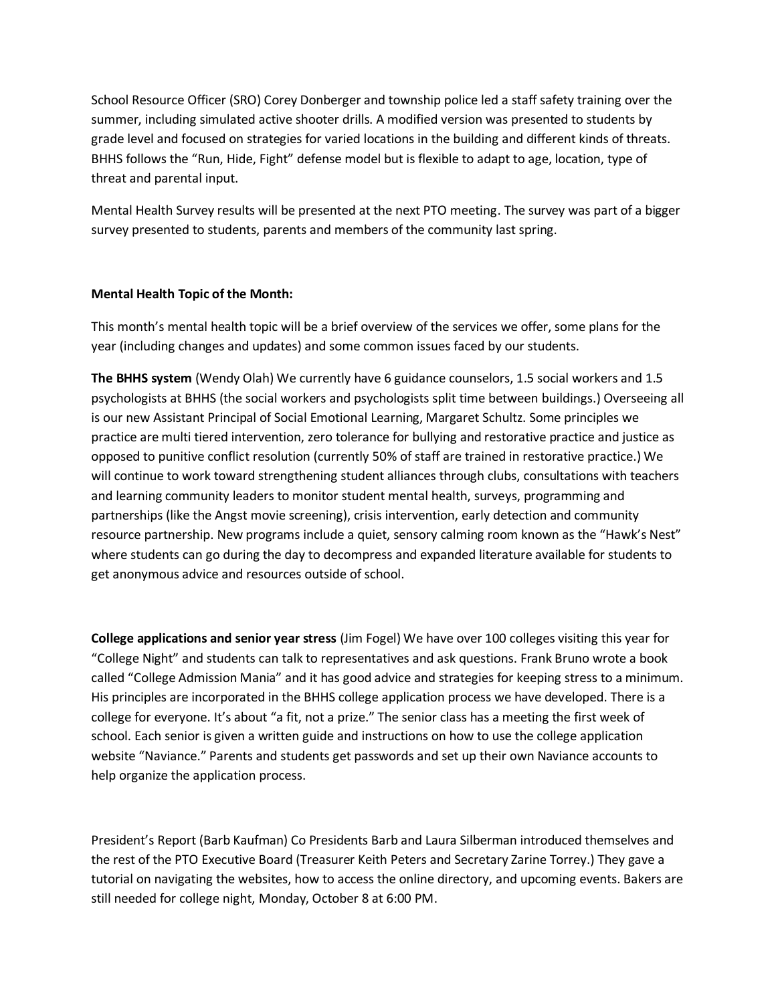School Resource Officer (SRO) Corey Donberger and township police led a staff safety training over the summer, including simulated active shooter drills. A modified version was presented to students by grade level and focused on strategies for varied locations in the building and different kinds of threats. BHHS follows the "Run, Hide, Fight" defense model but is flexible to adapt to age, location, type of threat and parental input.

Mental Health Survey results will be presented at the next PTO meeting. The survey was part of a bigger survey presented to students, parents and members of the community last spring.

## **Mental Health Topic of the Month:**

This month's mental health topic will be a brief overview of the services we offer, some plans for the year (including changes and updates) and some common issues faced by our students.

**The BHHS system** (Wendy Olah) We currently have 6 guidance counselors, 1.5 social workers and 1.5 psychologists at BHHS (the social workers and psychologists split time between buildings.) Overseeing all is our new Assistant Principal of Social Emotional Learning, Margaret Schultz. Some principles we practice are multi tiered intervention, zero tolerance for bullying and restorative practice and justice as opposed to punitive conflict resolution (currently 50% of staff are trained in restorative practice.) We will continue to work toward strengthening student alliances through clubs, consultations with teachers and learning community leaders to monitor student mental health, surveys, programming and partnerships (like the Angst movie screening), crisis intervention, early detection and community resource partnership. New programs include a quiet, sensory calming room known as the "Hawk's Nest" where students can go during the day to decompress and expanded literature available for students to get anonymous advice and resources outside of school.

**College applications and senior year stress** (Jim Fogel) We have over 100 colleges visiting this year for "College Night" and students can talk to representatives and ask questions. Frank Bruno wrote a book called "College Admission Mania" and it has good advice and strategies for keeping stress to a minimum. His principles are incorporated in the BHHS college application process we have developed. There is a college for everyone. It's about "a fit, not a prize." The senior class has a meeting the first week of school. Each senior is given a written guide and instructions on how to use the college application website "Naviance." Parents and students get passwords and set up their own Naviance accounts to help organize the application process.

President's Report (Barb Kaufman) Co Presidents Barb and Laura Silberman introduced themselves and the rest of the PTO Executive Board (Treasurer Keith Peters and Secretary Zarine Torrey.) They gave a tutorial on navigating the websites, how to access the online directory, and upcoming events. Bakers are still needed for college night, Monday, October 8 at 6:00 PM.